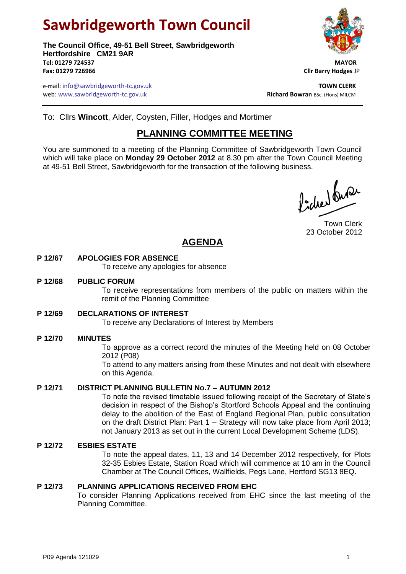# **Sawbridgeworth Town Council**

**The Council Office, 49-51 Bell Street, Sawbridgeworth Hertfordshire CM21 9AR Tel: 01279 724537 MAYOR Fax: 01279 726966 Cllr Barry Hodges** JP



e-mail: info@sawbridgeworth-tc.gov.uk **TOWN CLERK** web: www.sawbridgeworth-tc.gov.uk<br> **Richard Bowran** BSc. (Hons) MILCM

To: Cllrs **Wincott**, Alder, Coysten, Filler, Hodges and Mortimer

## **PLANNING COMMITTEE MEETING**

You are summoned to a meeting of the Planning Committee of Sawbridgeworth Town Council which will take place on **Monday 29 October 2012** at 8.30 pm after the Town Council Meeting at 49-51 Bell Street, Sawbridgeworth for the transaction of the following business.

Picked fuse

Town Clerk 23 October 2012

# **AGENDA**

#### **P 12/67 APOLOGIES FOR ABSENCE**

To receive any apologies for absence

#### **P 12/68 PUBLIC FORUM**

To receive representations from members of the public on matters within the remit of the Planning Committee

#### **P 12/69 DECLARATIONS OF INTEREST**

To receive any Declarations of Interest by Members

#### **P 12/70 MINUTES**

To approve as a correct record the minutes of the Meeting held on 08 October 2012 (P08)

To attend to any matters arising from these Minutes and not dealt with elsewhere on this Agenda.

#### **P 12/71 DISTRICT PLANNING BULLETIN No.7 – AUTUMN 2012**

To note the revised timetable issued following receipt of the Secretary of State's decision in respect of the Bishop's Stortford Schools Appeal and the continuing delay to the abolition of the East of England Regional Plan, public consultation on the draft District Plan: Part 1 – Strategy will now take place from April 2013; not January 2013 as set out in the current Local Development Scheme (LDS).

#### **P 12/72 ESBIES ESTATE**

To note the appeal dates, 11, 13 and 14 December 2012 respectively, for Plots 32-35 Esbies Estate, Station Road which will commence at 10 am in the Council Chamber at The Council Offices, Wallfields, Pegs Lane, Hertford SG13 8EQ.

#### **P 12/73 PLANNING APPLICATIONS RECEIVED FROM EHC**

To consider Planning Applications received from EHC since the last meeting of the Planning Committee.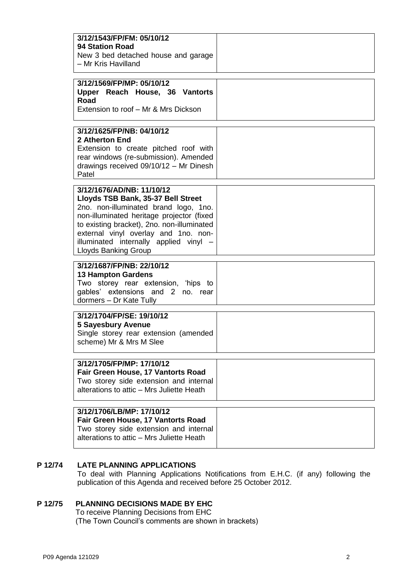| 3/12/1543/FP/FM: 05/10/12<br><b>94 Station Road</b><br>New 3 bed detached house and garage<br>- Mr Kris Havilland                                                                                                                                                                                             |  |
|---------------------------------------------------------------------------------------------------------------------------------------------------------------------------------------------------------------------------------------------------------------------------------------------------------------|--|
| 3/12/1569/FP/MP: 05/10/12<br>Upper Reach House, 36 Vantorts<br>Road<br>Extension to roof - Mr & Mrs Dickson                                                                                                                                                                                                   |  |
| 3/12/1625/FP/NB: 04/10/12<br>2 Atherton End<br>Extension to create pitched roof with<br>rear windows (re-submission). Amended<br>drawings received 09/10/12 - Mr Dinesh<br>Patel                                                                                                                              |  |
| 3/12/1676/AD/NB: 11/10/12<br>Lloyds TSB Bank, 35-37 Bell Street<br>2no. non-illuminated brand logo, 1no.<br>non-illuminated heritage projector (fixed<br>to existing bracket), 2no. non-illuminated<br>external vinyl overlay and 1no. non-<br>illuminated internally applied vinyl -<br>Lloyds Banking Group |  |
| 3/12/1687/FP/NB: 22/10/12<br><b>13 Hampton Gardens</b><br>Two storey rear extension, 'hips to<br>gables' extensions and 2 no. rear<br>dormers - Dr Kate Tully                                                                                                                                                 |  |
| 3/12/1704/FP/SE: 19/10/12<br><b>5 Sayesbury Avenue</b><br>Single storey rear extension (amended<br>scheme) Mr & Mrs M Slee                                                                                                                                                                                    |  |
| 3/12/1705/FP/MP: 17/10/12<br>Fair Green House, 17 Vantorts Road<br>Two storey side extension and internal<br>alterations to attic - Mrs Juliette Heath                                                                                                                                                        |  |
| 3/12/1706/LB/MP: 17/10/12<br>Fair Green House, 17 Vantorts Road<br>Two storey side extension and internal<br>alterations to attic - Mrs Juliette Heath                                                                                                                                                        |  |

#### **P 12/74 LATE PLANNING APPLICATIONS**

To deal with Planning Applications Notifications from E.H.C. (if any) following the publication of this Agenda and received before 25 October 2012.

### **P 12/75 PLANNING DECISIONS MADE BY EHC**

To receive Planning Decisions from EHC (The Town Council's comments are shown in brackets)